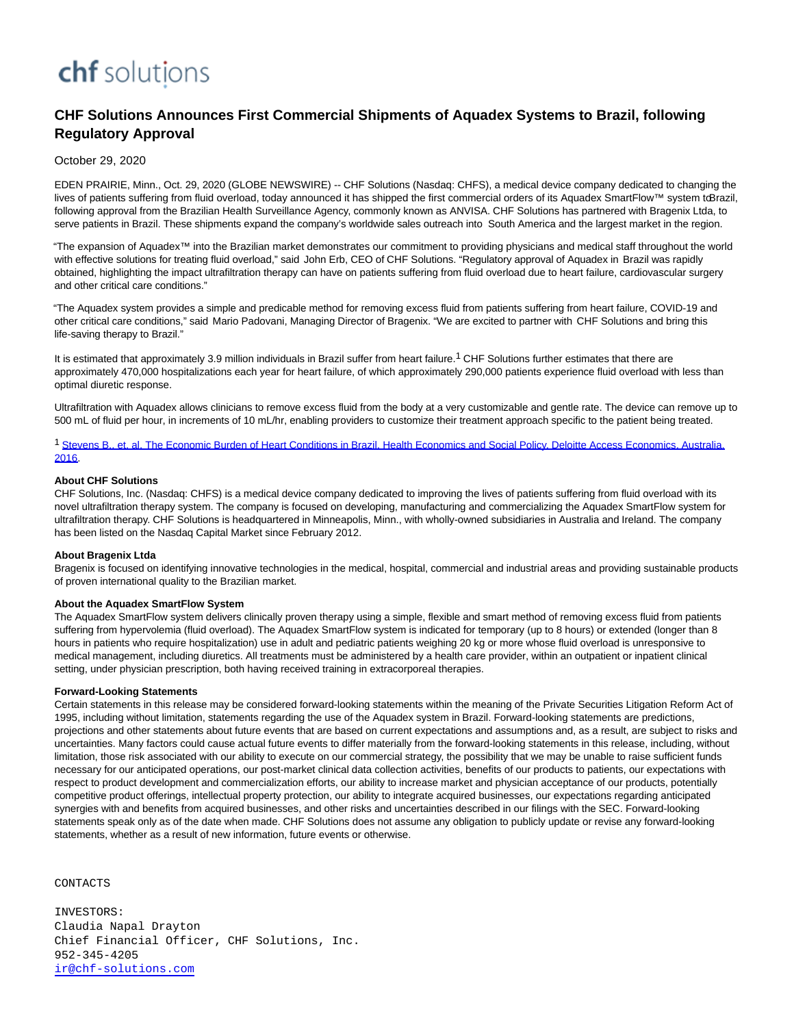# chf solutions

# **CHF Solutions Announces First Commercial Shipments of Aquadex Systems to Brazil, following Regulatory Approval**

## October 29, 2020

EDEN PRAIRIE, Minn., Oct. 29, 2020 (GLOBE NEWSWIRE) -- CHF Solutions (Nasdaq: CHFS), a medical device company dedicated to changing the lives of patients suffering from fluid overload, today announced it has shipped the first commercial orders of its Aquadex SmartFlow™ system to Brazil, following approval from the Brazilian Health Surveillance Agency, commonly known as ANVISA. CHF Solutions has partnered with Bragenix Ltda, to serve patients in Brazil. These shipments expand the company's worldwide sales outreach into South America and the largest market in the region.

"The expansion of Aquadex™ into the Brazilian market demonstrates our commitment to providing physicians and medical staff throughout the world with effective solutions for treating fluid overload," said John Erb, CEO of CHF Solutions. "Regulatory approval of Aquadex in Brazil was rapidly obtained, highlighting the impact ultrafiltration therapy can have on patients suffering from fluid overload due to heart failure, cardiovascular surgery and other critical care conditions."

"The Aquadex system provides a simple and predicable method for removing excess fluid from patients suffering from heart failure, COVID-19 and other critical care conditions," said Mario Padovani, Managing Director of Bragenix. "We are excited to partner with CHF Solutions and bring this life-saving therapy to Brazil."

It is estimated that approximately 3.9 million individuals in Brazil suffer from heart failure.<sup>1</sup> CHF Solutions further estimates that there are approximately 470,000 hospitalizations each year for heart failure, of which approximately 290,000 patients experience fluid overload with less than optimal diuretic response.

Ultrafiltration with Aquadex allows clinicians to remove excess fluid from the body at a very customizable and gentle rate. The device can remove up to 500 mL of fluid per hour, in increments of 10 mL/hr, enabling providers to customize their treatment approach specific to the patient being treated.

1 [Stevens B., et. al. The Economic Burden of Heart Conditions in Brazil, Health Economics and Social Policy, Deloitte Access Economics,](https://www.globenewswire.com/Tracker?data=9Wj3Cau505EnsLsWSnSlMB2jVHy2BDjBwnbVW9BBlu08iV4gbfSNpV9b3OyjSUQAAs3dr2LTxgr5YP1WWB_zxQMPb0L41zNHx0_4Lq5P8gMbjW7RXiq572l4YIv5x4FG_vPQdvC7qzyAqF6D8iA_F49NUj7ET2wZZmLaaKG77qVkdtpZR2DVZgZr6G6zPiooQRTerm_DVb6rVxNfe0hn71lwm5wx06FMLmBUcNShariLj7kuajz8-Y611d-gcjd6I71AkyjknGvohkM2T1olTuNgPro9VFt9C4Wy8_wDUJc=) [Australia.](https://www.globenewswire.com/Tracker?data=vtu2R8y8iolZQOuecIGQBeHOl6O63P39fSetuSJvM-d-GjiJAsXQ3xulSB8Axn2eg90F9GcgvpxLR6dJUF7EO1K6LpAYn-CSojb4RE8ZHOyHq9mgUUGpGxVr060oTqAC) 2016.

### **About CHF Solutions**

CHF Solutions, Inc. (Nasdaq: CHFS) is a medical device company dedicated to improving the lives of patients suffering from fluid overload with its novel ultrafiltration therapy system. The company is focused on developing, manufacturing and commercializing the Aquadex SmartFlow system for ultrafiltration therapy. CHF Solutions is headquartered in Minneapolis, Minn., with wholly-owned subsidiaries in Australia and Ireland. The company has been listed on the Nasdaq Capital Market since February 2012.

#### **About Bragenix Ltda**

Bragenix is focused on identifying innovative technologies in the medical, hospital, commercial and industrial areas and providing sustainable products of proven international quality to the Brazilian market.

#### **About the Aquadex SmartFlow System**

The Aquadex SmartFlow system delivers clinically proven therapy using a simple, flexible and smart method of removing excess fluid from patients suffering from hypervolemia (fluid overload). The Aquadex SmartFlow system is indicated for temporary (up to 8 hours) or extended (longer than 8 hours in patients who require hospitalization) use in adult and pediatric patients weighing 20 kg or more whose fluid overload is unresponsive to medical management, including diuretics. All treatments must be administered by a health care provider, within an outpatient or inpatient clinical setting, under physician prescription, both having received training in extracorporeal therapies.

### **Forward-Looking Statements**

Certain statements in this release may be considered forward-looking statements within the meaning of the Private Securities Litigation Reform Act of 1995, including without limitation, statements regarding the use of the Aquadex system in Brazil. Forward-looking statements are predictions, projections and other statements about future events that are based on current expectations and assumptions and, as a result, are subject to risks and uncertainties. Many factors could cause actual future events to differ materially from the forward-looking statements in this release, including, without limitation, those risk associated with our ability to execute on our commercial strategy, the possibility that we may be unable to raise sufficient funds necessary for our anticipated operations, our post-market clinical data collection activities, benefits of our products to patients, our expectations with respect to product development and commercialization efforts, our ability to increase market and physician acceptance of our products, potentially competitive product offerings, intellectual property protection, our ability to integrate acquired businesses, our expectations regarding anticipated synergies with and benefits from acquired businesses, and other risks and uncertainties described in our filings with the SEC. Forward-looking statements speak only as of the date when made. CHF Solutions does not assume any obligation to publicly update or revise any forward-looking statements, whether as a result of new information, future events or otherwise.

CONTACTS

INVESTORS: Claudia Napal Drayton Chief Financial Officer, CHF Solutions, Inc. 952-345-4205 [ir@chf-solutions.com](mailto:ir@chf-solutions.com)